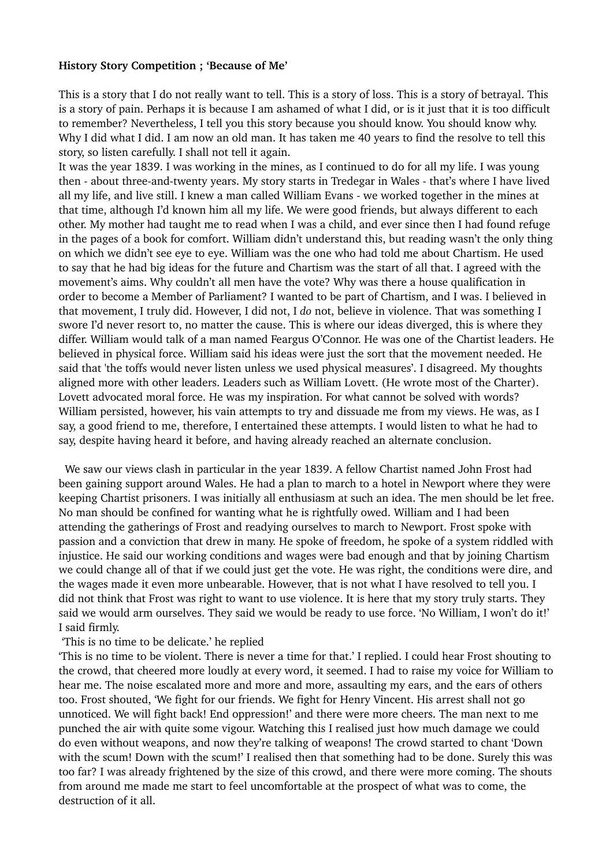## **History Story Competition ; 'Because of Me'**

This is a story that I do not really want to tell. This is a story of loss. This is a story of betrayal. This is a story of pain. Perhaps it is because I am ashamed of what I did, or is it just that it is too difficult to remember? Nevertheless, I tell you this story because you should know. You should know why. Why I did what I did. I am now an old man. It has taken me 40 years to find the resolve to tell this story, so listen carefully. I shall not tell it again.

It was the year 1839. I was working in the mines, as I continued to do for all my life. I was young then - about three-and-twenty years. My story starts in Tredegar in Wales - that's where I have lived all my life, and live still. I knew a man called William Evans - we worked together in the mines at that time, although I'd known him all my life. We were good friends, but always different to each other. My mother had taught me to read when I was a child, and ever since then I had found refuge in the pages of a book for comfort. William didn't understand this, but reading wasn't the only thing on which we didn't see eye to eye. William was the one who had told me about Chartism. He used to say that he had big ideas for the future and Chartism was the start of all that. I agreed with the movement's aims. Why couldn't all men have the vote? Why was there a house qualification in order to become a Member of Parliament? I wanted to be part of Chartism, and I was. I believed in that movement, I truly did. However, I did not, I *do* not, believe in violence. That was something I swore I'd never resort to, no matter the cause. This is where our ideas diverged, this is where they differ. William would talk of a man named Feargus O'Connor. He was one of the Chartist leaders. He believed in physical force. William said his ideas were just the sort that the movement needed. He said that 'the toffs would never listen unless we used physical measures'. I disagreed. My thoughts aligned more with other leaders. Leaders such as William Lovett. (He wrote most of the Charter). Lovett advocated moral force. He was my inspiration. For what cannot be solved with words? William persisted, however, his vain attempts to try and dissuade me from my views. He was, as I say, a good friend to me, therefore, I entertained these attempts. I would listen to what he had to say, despite having heard it before, and having already reached an alternate conclusion.

 We saw our views clash in particular in the year 1839. A fellow Chartist named John Frost had been gaining support around Wales. He had a plan to march to a hotel in Newport where they were keeping Chartist prisoners. I was initially all enthusiasm at such an idea. The men should be let free. No man should be confined for wanting what he is rightfully owed. William and I had been attending the gatherings of Frost and readying ourselves to march to Newport. Frost spoke with passion and a conviction that drew in many. He spoke of freedom, he spoke of a system riddled with injustice. He said our working conditions and wages were bad enough and that by joining Chartism we could change all of that if we could just get the vote. He was right, the conditions were dire, and the wages made it even more unbearable. However, that is not what I have resolved to tell you. I did not think that Frost was right to want to use violence. It is here that my story truly starts. They said we would arm ourselves. They said we would be ready to use force. 'No William, I won't do it!' I said firmly.

## 'This is no time to be delicate.' he replied

'This is no time to be violent. There is never a time for that.' I replied. I could hear Frost shouting to the crowd, that cheered more loudly at every word, it seemed. I had to raise my voice for William to hear me. The noise escalated more and more and more, assaulting my ears, and the ears of others too. Frost shouted, 'We fight for our friends. We fight for Henry Vincent. His arrest shall not go unnoticed. We will fight back! End oppression!' and there were more cheers. The man next to me punched the air with quite some vigour. Watching this I realised just how much damage we could do even without weapons, and now they're talking of weapons! The crowd started to chant 'Down with the scum! Down with the scum!' I realised then that something had to be done. Surely this was too far? I was already frightened by the size of this crowd, and there were more coming. The shouts from around me made me start to feel uncomfortable at the prospect of what was to come, the destruction of it all.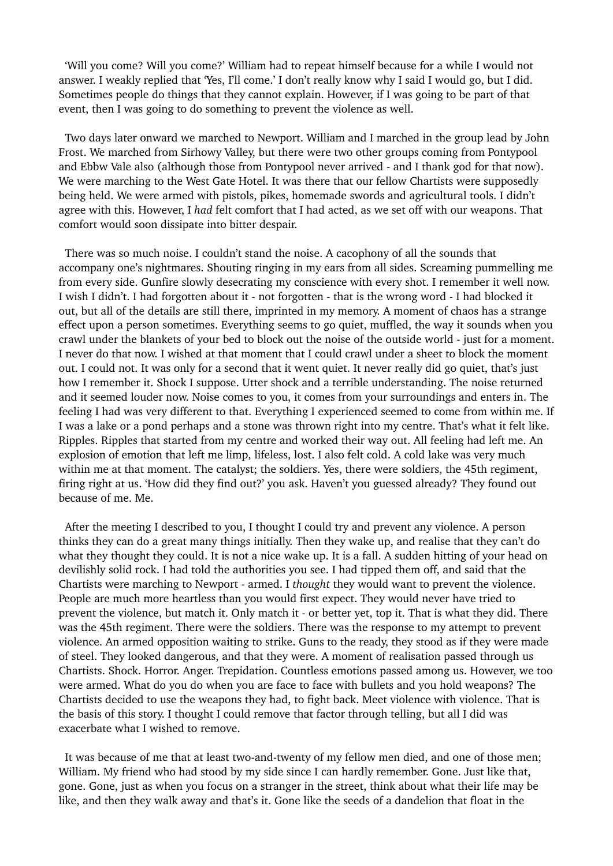'Will you come? Will you come?' William had to repeat himself because for a while I would not answer. I weakly replied that 'Yes, I'll come.' I don't really know why I said I would go, but I did. Sometimes people do things that they cannot explain. However, if I was going to be part of that event, then I was going to do something to prevent the violence as well.

 Two days later onward we marched to Newport. William and I marched in the group lead by John Frost. We marched from Sirhowy Valley, but there were two other groups coming from Pontypool and Ebbw Vale also (although those from Pontypool never arrived - and I thank god for that now). We were marching to the West Gate Hotel. It was there that our fellow Chartists were supposedly being held. We were armed with pistols, pikes, homemade swords and agricultural tools. I didn't agree with this. However, I *had* felt comfort that I had acted, as we set off with our weapons. That comfort would soon dissipate into bitter despair.

 There was so much noise. I couldn't stand the noise. A cacophony of all the sounds that accompany one's nightmares. Shouting ringing in my ears from all sides. Screaming pummelling me from every side. Gunfire slowly desecrating my conscience with every shot. I remember it well now. I wish I didn't. I had forgotten about it - not forgotten - that is the wrong word - I had blocked it out, but all of the details are still there, imprinted in my memory. A moment of chaos has a strange effect upon a person sometimes. Everything seems to go quiet, muffled, the way it sounds when you crawl under the blankets of your bed to block out the noise of the outside world - just for a moment. I never do that now. I wished at that moment that I could crawl under a sheet to block the moment out. I could not. It was only for a second that it went quiet. It never really did go quiet, that's just how I remember it. Shock I suppose. Utter shock and a terrible understanding. The noise returned and it seemed louder now. Noise comes to you, it comes from your surroundings and enters in. The feeling I had was very different to that. Everything I experienced seemed to come from within me. If I was a lake or a pond perhaps and a stone was thrown right into my centre. That's what it felt like. Ripples. Ripples that started from my centre and worked their way out. All feeling had left me. An explosion of emotion that left me limp, lifeless, lost. I also felt cold. A cold lake was very much within me at that moment. The catalyst; the soldiers. Yes, there were soldiers, the 45th regiment, firing right at us. 'How did they find out?' you ask. Haven't you guessed already? They found out because of me. Me.

 After the meeting I described to you, I thought I could try and prevent any violence. A person thinks they can do a great many things initially. Then they wake up, and realise that they can't do what they thought they could. It is not a nice wake up. It is a fall. A sudden hitting of your head on devilishly solid rock. I had told the authorities you see. I had tipped them off, and said that the Chartists were marching to Newport - armed. I *thought* they would want to prevent the violence. People are much more heartless than you would first expect. They would never have tried to prevent the violence, but match it. Only match it - or better yet, top it. That is what they did. There was the 45th regiment. There were the soldiers. There was the response to my attempt to prevent violence. An armed opposition waiting to strike. Guns to the ready, they stood as if they were made of steel. They looked dangerous, and that they were. A moment of realisation passed through us Chartists. Shock. Horror. Anger. Trepidation. Countless emotions passed among us. However, we too were armed. What do you do when you are face to face with bullets and you hold weapons? The Chartists decided to use the weapons they had, to fight back. Meet violence with violence. That is the basis of this story. I thought I could remove that factor through telling, but all I did was exacerbate what I wished to remove.

 It was because of me that at least two-and-twenty of my fellow men died, and one of those men; William. My friend who had stood by my side since I can hardly remember. Gone. Just like that, gone. Gone, just as when you focus on a stranger in the street, think about what their life may be like, and then they walk away and that's it. Gone like the seeds of a dandelion that float in the